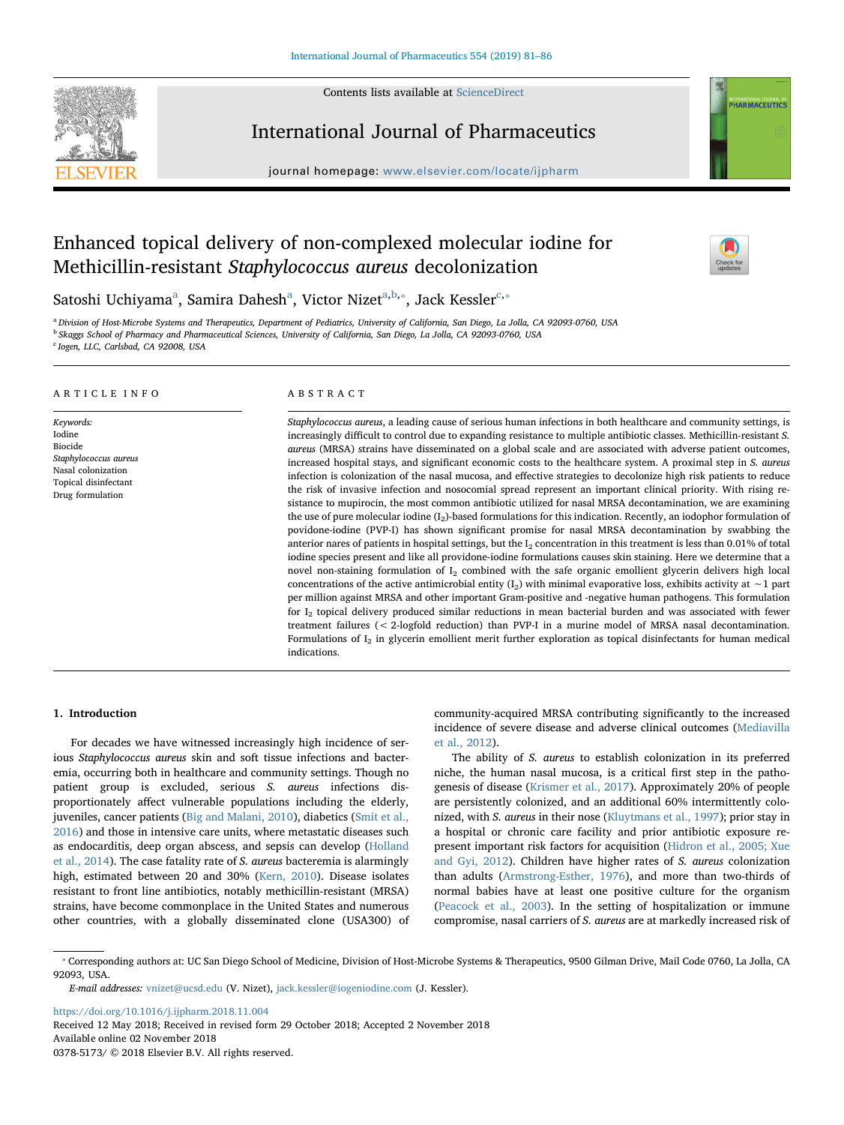Contents lists available at [ScienceDirect](http://www.sciencedirect.com/science/journal/03785173)



International Journal of Pharmaceutics

journal homepage: [www.elsevier.com/locate/ijpharm](https://www.elsevier.com/locate/ijpharm)

# Enhanced topical delivery of non-complexed molecular iodine for Methicillin-resistant Staphylococcus aureus decolonization



**NTERNATIONAL JOURNAL OF**<br>PHARMACEUTICS

S[a](#page-0-0)toshi Uchiyama<sup>a</sup>, Samira Dahesh<sup>a</sup>, Victor Nizet<sup>[a,](#page-0-0)[b](#page-0-1),</sup>\*, Ja[c](#page-0-3)k Kessler<sup>c,</sup>\*

<span id="page-0-3"></span><span id="page-0-1"></span><span id="page-0-0"></span><sup>a</sup> Division of Host-Microbe Systems and Therapeutics, Department of Pediatrics, University of California, San Diego, La Jolla, CA 92093-0760, USA <sup>b</sup> Skaggs School of Pharmacy and Pharmaceutical Sciences, University of California, San Diego, La Jolla, CA 92093-0760, USA <sup>c</sup> Iogen, LLC, Carlsbad, CA 92008, USA

#### ARTICLE INFO

Keywords: Iodine Biocide Staphylococcus aureus Nasal colonization Topical disinfectant Drug formulation

#### ABSTRACT

Staphylococcus aureus, a leading cause of serious human infections in both healthcare and community settings, is increasingly difficult to control due to expanding resistance to multiple antibiotic classes. Methicillin-resistant S. aureus (MRSA) strains have disseminated on a global scale and are associated with adverse patient outcomes, increased hospital stays, and significant economic costs to the healthcare system. A proximal step in S. aureus infection is colonization of the nasal mucosa, and effective strategies to decolonize high risk patients to reduce the risk of invasive infection and nosocomial spread represent an important clinical priority. With rising resistance to mupirocin, the most common antibiotic utilized for nasal MRSA decontamination, we are examining the use of pure molecular iodine (I<sub>2</sub>)-based formulations for this indication. Recently, an iodophor formulation of povidone-iodine (PVP-I) has shown significant promise for nasal MRSA decontamination by swabbing the anterior nares of patients in hospital settings, but the  $I_2$  concentration in this treatment is less than 0.01% of total iodine species present and like all providone-iodine formulations causes skin staining. Here we determine that a novel non-staining formulation of  $I_2$  combined with the safe organic emollient glycerin delivers high local concentrations of the active antimicrobial entity (I<sub>2</sub>) with minimal evaporative loss, exhibits activity at ∼1 part per million against MRSA and other important Gram-positive and -negative human pathogens. This formulation for I<sub>2</sub> topical delivery produced similar reductions in mean bacterial burden and was associated with fewer treatment failures (< 2-logfold reduction) than PVP-I in a murine model of MRSA nasal decontamination. Formulations of I2 in glycerin emollient merit further exploration as topical disinfectants for human medical indications.

## 1. Introduction

For decades we have witnessed increasingly high incidence of serious Staphylococcus aureus skin and soft tissue infections and bacteremia, occurring both in healthcare and community settings. Though no patient group is excluded, serious S. aureus infections disproportionately affect vulnerable populations including the elderly, juveniles, cancer patients ([Big and Malani, 2010](#page-4-0)), diabetics ([Smit et al.,](#page-5-0) [2016\)](#page-5-0) and those in intensive care units, where metastatic diseases such as endocarditis, deep organ abscess, and sepsis can develop ([Holland](#page-5-1) [et al., 2014](#page-5-1)). The case fatality rate of S. aureus bacteremia is alarmingly high, estimated between 20 and 30% ([Kern, 2010\)](#page-5-2). Disease isolates resistant to front line antibiotics, notably methicillin-resistant (MRSA) strains, have become commonplace in the United States and numerous other countries, with a globally disseminated clone (USA300) of community-acquired MRSA contributing significantly to the increased incidence of severe disease and adverse clinical outcomes [\(Mediavilla](#page-5-3) [et al., 2012](#page-5-3)).

The ability of S. aureus to establish colonization in its preferred niche, the human nasal mucosa, is a critical first step in the pathogenesis of disease [\(Krismer et al., 2017](#page-5-4)). Approximately 20% of people are persistently colonized, and an additional 60% intermittently colonized, with S. aureus in their nose ([Kluytmans et al., 1997\)](#page-5-5); prior stay in a hospital or chronic care facility and prior antibiotic exposure represent important risk factors for acquisition [\(Hidron et al., 2005; Xue](#page-5-6) [and Gyi, 2012\)](#page-5-6). Children have higher rates of S. aureus colonization than adults [\(Armstrong-Esther, 1976](#page-4-1)), and more than two-thirds of normal babies have at least one positive culture for the organism ([Peacock et al., 2003](#page-5-7)). In the setting of hospitalization or immune compromise, nasal carriers of S. aureus are at markedly increased risk of

<https://doi.org/10.1016/j.ijpharm.2018.11.004>

Received 12 May 2018; Received in revised form 29 October 2018; Accepted 2 November 2018 Available online 02 November 2018 0378-5173/ © 2018 Elsevier B.V. All rights reserved.

<span id="page-0-2"></span><sup>⁎</sup> Corresponding authors at: UC San Diego School of Medicine, Division of Host-Microbe Systems & Therapeutics, 9500 Gilman Drive, Mail Code 0760, La Jolla, CA 92093, USA.

E-mail addresses: [vnizet@ucsd.edu](mailto:vnizet@ucsd.edu) (V. Nizet), [jack.kessler@iogeniodine.com](mailto:jack.kessler@iogeniodine.com) (J. Kessler).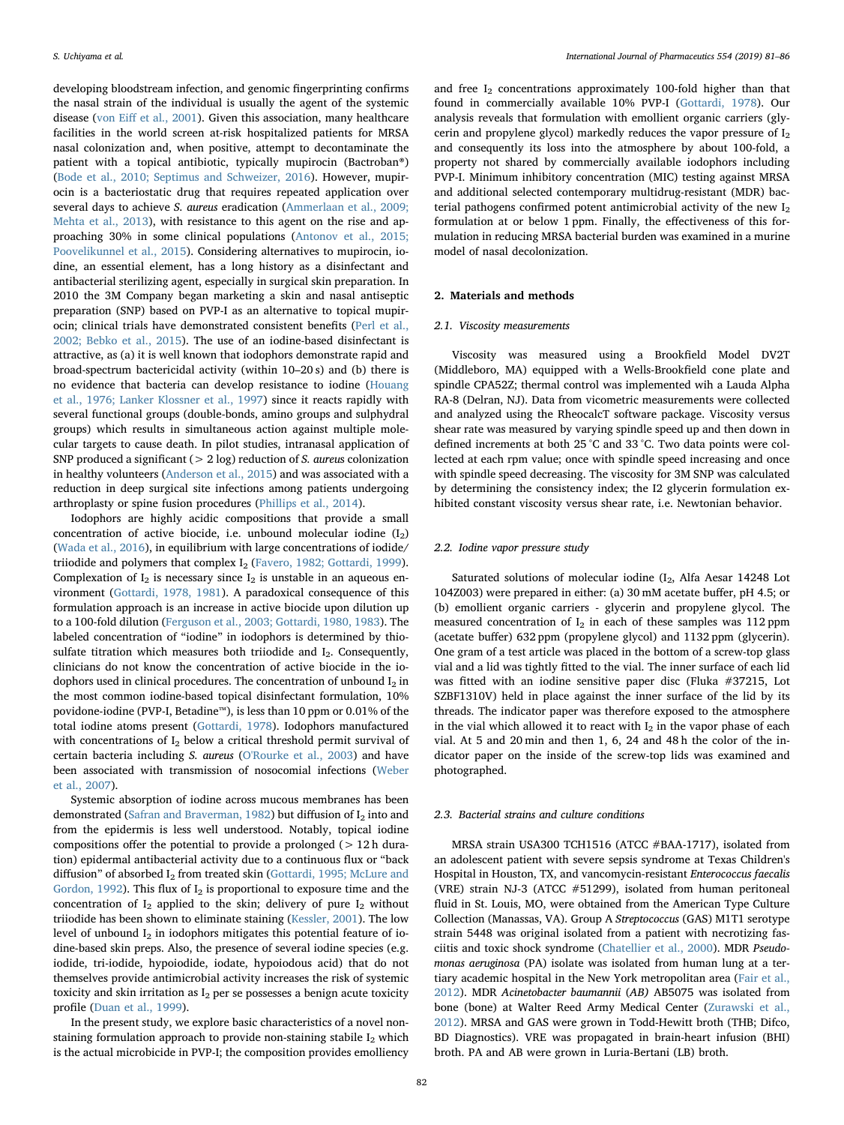developing bloodstream infection, and genomic fingerprinting confirms the nasal strain of the individual is usually the agent of the systemic disease (von Eiff [et al., 2001](#page-5-8)). Given this association, many healthcare facilities in the world screen at-risk hospitalized patients for MRSA nasal colonization and, when positive, attempt to decontaminate the patient with a topical antibiotic, typically mupirocin (Bactroban®) ([Bode et al., 2010; Septimus and Schweizer, 2016](#page-4-2)). However, mupirocin is a bacteriostatic drug that requires repeated application over several days to achieve S. aureus eradication ([Ammerlaan et al., 2009;](#page-4-3) [Mehta et al., 2013\)](#page-4-3), with resistance to this agent on the rise and approaching 30% in some clinical populations ([Antonov et al., 2015;](#page-4-4) [Poovelikunnel et al., 2015\)](#page-4-4). Considering alternatives to mupirocin, iodine, an essential element, has a long history as a disinfectant and antibacterial sterilizing agent, especially in surgical skin preparation. In 2010 the 3M Company began marketing a skin and nasal antiseptic preparation (SNP) based on PVP-I as an alternative to topical mupirocin; clinical trials have demonstrated consistent benefits ([Perl et al.,](#page-5-9) [2002; Bebko et al., 2015](#page-5-9)). The use of an iodine-based disinfectant is attractive, as (a) it is well known that iodophors demonstrate rapid and broad-spectrum bactericidal activity (within 10–20 s) and (b) there is no evidence that bacteria can develop resistance to iodine [\(Houang](#page-5-10) [et al., 1976; Lanker Klossner et al., 1997\)](#page-5-10) since it reacts rapidly with several functional groups (double-bonds, amino groups and sulphydral groups) which results in simultaneous action against multiple molecular targets to cause death. In pilot studies, intranasal application of SNP produced a significant ( $> 2 \log$ ) reduction of *S*. *aureus* colonization in healthy volunteers [\(Anderson et al., 2015](#page-4-5)) and was associated with a reduction in deep surgical site infections among patients undergoing arthroplasty or spine fusion procedures [\(Phillips et al., 2014\)](#page-5-11).

Iodophors are highly acidic compositions that provide a small concentration of active biocide, i.e. unbound molecular iodine  $(I_2)$ ([Wada et al., 2016](#page-5-12)), in equilibrium with large concentrations of iodide/ triiodide and polymers that complex  $I_2$  [\(Favero, 1982; Gottardi, 1999](#page-5-13)). Complexation of  $I_2$  is necessary since  $I_2$  is unstable in an aqueous environment [\(Gottardi, 1978, 1981](#page-5-14)). A paradoxical consequence of this formulation approach is an increase in active biocide upon dilution up to a 100-fold dilution [\(Ferguson et al., 2003; Gottardi, 1980, 1983](#page-5-15)). The labeled concentration of "iodine" in iodophors is determined by thiosulfate titration which measures both triiodide and  $I_2$ . Consequently, clinicians do not know the concentration of active biocide in the iodophors used in clinical procedures. The concentration of unbound  $I_2$  in the most common iodine-based topical disinfectant formulation, 10% povidone-iodine (PVP-I, Betadine™), is less than 10 ppm or 0.01% of the total iodine atoms present [\(Gottardi, 1978](#page-5-14)). Iodophors manufactured with concentrations of  $I_2$  below a critical threshold permit survival of certain bacteria including S. aureus [\(O'Rourke et al., 2003](#page-5-16)) and have been associated with transmission of nosocomial infections ([Weber](#page-5-17) [et al., 2007](#page-5-17)).

Systemic absorption of iodine across mucous membranes has been demonstrated ([Safran and Braverman, 1982](#page-5-18)) but diffusion of  $I_2$  into and from the epidermis is less well understood. Notably, topical iodine compositions offer the potential to provide a prolonged (> 12 h duration) epidermal antibacterial activity due to a continuous flux or "back diffusion" of absorbed  $I_2$  from treated skin ([Gottardi, 1995; McLure and](#page-5-19) [Gordon, 1992\)](#page-5-19). This flux of  $I_2$  is proportional to exposure time and the concentration of  $I_2$  applied to the skin; delivery of pure  $I_2$  without triiodide has been shown to eliminate staining ([Kessler, 2001\)](#page-5-20). The low level of unbound  $I_2$  in iodophors mitigates this potential feature of iodine-based skin preps. Also, the presence of several iodine species (e.g. iodide, tri-iodide, hypoiodide, iodate, hypoiodous acid) that do not themselves provide antimicrobial activity increases the risk of systemic toxicity and skin irritation as  $I_2$  per se possesses a benign acute toxicity profile [\(Duan et al., 1999\)](#page-5-21).

In the present study, we explore basic characteristics of a novel nonstaining formulation approach to provide non-staining stabile  $I_2$  which is the actual microbicide in PVP-I; the composition provides emolliency

and free  $I_2$  concentrations approximately 100-fold higher than that found in commercially available 10% PVP-I [\(Gottardi, 1978](#page-5-14)). Our analysis reveals that formulation with emollient organic carriers (glycerin and propylene glycol) markedly reduces the vapor pressure of  $I_2$ and consequently its loss into the atmosphere by about 100-fold, a property not shared by commercially available iodophors including PVP-I. Minimum inhibitory concentration (MIC) testing against MRSA and additional selected contemporary multidrug-resistant (MDR) bacterial pathogens confirmed potent antimicrobial activity of the new  $\mathbf{I}_2$ formulation at or below 1 ppm. Finally, the effectiveness of this formulation in reducing MRSA bacterial burden was examined in a murine model of nasal decolonization.

# 2. Materials and methods

## 2.1. Viscosity measurements

Viscosity was measured using a Brookfield Model DV2T (Middleboro, MA) equipped with a Wells-Brookfield cone plate and spindle CPA52Z; thermal control was implemented wih a Lauda Alpha RA-8 (Delran, NJ). Data from vicometric measurements were collected and analyzed using the RheocalcT software package. Viscosity versus shear rate was measured by varying spindle speed up and then down in defined increments at both 25 °C and 33 °C. Two data points were collected at each rpm value; once with spindle speed increasing and once with spindle speed decreasing. The viscosity for 3M SNP was calculated by determining the consistency index; the I2 glycerin formulation exhibited constant viscosity versus shear rate, i.e. Newtonian behavior.

## 2.2. Iodine vapor pressure study

Saturated solutions of molecular iodine  $(I_2,$  Alfa Aesar 14248 Lot 104Z003) were prepared in either: (a) 30 mM acetate buffer, pH 4.5; or (b) emollient organic carriers - glycerin and propylene glycol. The measured concentration of  $I_2$  in each of these samples was 112 ppm (acetate buffer) 632 ppm (propylene glycol) and 1132 ppm (glycerin). One gram of a test article was placed in the bottom of a screw-top glass vial and a lid was tightly fitted to the vial. The inner surface of each lid was fitted with an iodine sensitive paper disc (Fluka #37215, Lot SZBF1310V) held in place against the inner surface of the lid by its threads. The indicator paper was therefore exposed to the atmosphere in the vial which allowed it to react with  $I_2$  in the vapor phase of each vial. At 5 and 20 min and then 1, 6, 24 and 48 h the color of the indicator paper on the inside of the screw-top lids was examined and photographed.

#### 2.3. Bacterial strains and culture conditions

MRSA strain USA300 TCH1516 (ATCC #BAA-1717), isolated from an adolescent patient with severe sepsis syndrome at Texas Children's Hospital in Houston, TX, and vancomycin-resistant Enterococcus faecalis (VRE) strain NJ-3 (ATCC #51299), isolated from human peritoneal fluid in St. Louis, MO, were obtained from the American Type Culture Collection (Manassas, VA). Group A Streptococcus (GAS) M1T1 serotype strain 5448 was original isolated from a patient with necrotizing fasciitis and toxic shock syndrome [\(Chatellier et al., 2000](#page-4-6)). MDR Pseudomonas aeruginosa (PA) isolate was isolated from human lung at a tertiary academic hospital in the New York metropolitan area [\(Fair et al.,](#page-5-22) [2012\)](#page-5-22). MDR Acinetobacter baumannii (AB) AB5075 was isolated from bone (bone) at Walter Reed Army Medical Center ([Zurawski et al.,](#page-5-23) [2012\)](#page-5-23). MRSA and GAS were grown in Todd-Hewitt broth (THB; Difco, BD Diagnostics). VRE was propagated in brain-heart infusion (BHI) broth. PA and AB were grown in Luria-Bertani (LB) broth.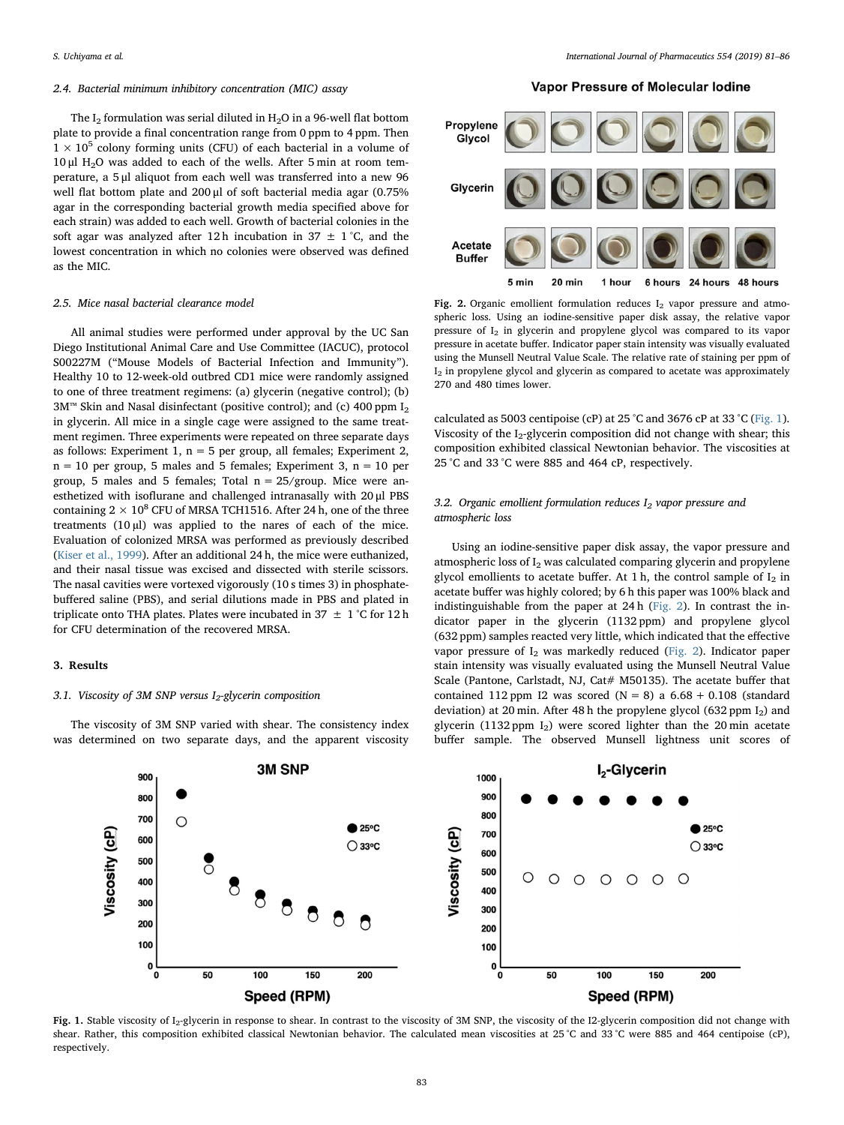### 2.4. Bacterial minimum inhibitory concentration (MIC) assay

The I<sub>2</sub> formulation was serial diluted in H<sub>2</sub>O in a 96-well flat bottom plate to provide a final concentration range from 0 ppm to 4 ppm. Then  $1 \times 10^5$  colony forming units (CFU) of each bacterial in a volume of 10 μl H2O was added to each of the wells. After 5 min at room temperature, a 5 μl aliquot from each well was transferred into a new 96 well flat bottom plate and 200 μl of soft bacterial media agar (0.75% agar in the corresponding bacterial growth media specified above for each strain) was added to each well. Growth of bacterial colonies in the soft agar was analyzed after 12 h incubation in 37  $\pm$  1 °C, and the lowest concentration in which no colonies were observed was defined as the MIC.

## 2.5. Mice nasal bacterial clearance model

All animal studies were performed under approval by the UC San Diego Institutional Animal Care and Use Committee (IACUC), protocol S00227M ("Mouse Models of Bacterial Infection and Immunity"). Healthy 10 to 12-week-old outbred CD1 mice were randomly assigned to one of three treatment regimens: (a) glycerin (negative control); (b) 3M™ Skin and Nasal disinfectant (positive control); and (c) 400 ppm  $I_2$ in glycerin. All mice in a single cage were assigned to the same treatment regimen. Three experiments were repeated on three separate days as follows: Experiment 1,  $n = 5$  per group, all females; Experiment 2,  $n = 10$  per group, 5 males and 5 females; Experiment 3,  $n = 10$  per group, 5 males and 5 females; Total  $n = 25/$ group. Mice were anesthetized with isoflurane and challenged intranasally with 20 μl PBS containing  $2 \times 10^8$  CFU of MRSA TCH1516. After 24 h, one of the three treatments  $(10 \mu l)$  was applied to the nares of each of the mice. Evaluation of colonized MRSA was performed as previously described ([Kiser et al., 1999](#page-5-24)). After an additional 24 h, the mice were euthanized, and their nasal tissue was excised and dissected with sterile scissors. The nasal cavities were vortexed vigorously (10 s times 3) in phosphatebuffered saline (PBS), and serial dilutions made in PBS and plated in triplicate onto THA plates. Plates were incubated in 37  $\pm$  1 °C for 12 h for CFU determination of the recovered MRSA.

#### 3. Results

#### 3.1. Viscosity of 3M SNP versus  $I_2$ -glycerin composition

The viscosity of 3M SNP varied with shear. The consistency index was determined on two separate days, and the apparent viscosity

# Vapor Pressure of Molecular Iodine

<span id="page-2-1"></span>

Fig. 2. Organic emollient formulation reduces  $I_2$  vapor pressure and atmospheric loss. Using an iodine-sensitive paper disk assay, the relative vapor pressure of  $I_2$  in glycerin and propylene glycol was compared to its vapor pressure in acetate buffer. Indicator paper stain intensity was visually evaluated using the Munsell Neutral Value Scale. The relative rate of staining per ppm of  $I_2$  in propylene glycol and glycerin as compared to acetate was approximately 270 and 480 times lower.

calculated as 5003 centipoise (cP) at 25 °C and 3676 cP at 33 °C ([Fig. 1](#page-2-0)). Viscosity of the  $I_2$ -glycerin composition did not change with shear; this composition exhibited classical Newtonian behavior. The viscosities at 25 °C and 33 °C were 885 and 464 cP, respectively.

# 3.2. Organic emollient formulation reduces  $I_2$  vapor pressure and atmospheric loss

Using an iodine-sensitive paper disk assay, the vapor pressure and atmospheric loss of  $I_2$  was calculated comparing glycerin and propylene glycol emollients to acetate buffer. At 1 h, the control sample of  $I_2$  in acetate buffer was highly colored; by 6 h this paper was 100% black and indistinguishable from the paper at 24 h ([Fig. 2](#page-2-1)). In contrast the indicator paper in the glycerin (1132 ppm) and propylene glycol (632 ppm) samples reacted very little, which indicated that the effective vapor pressure of  $I_2$  was markedly reduced [\(Fig. 2](#page-2-1)). Indicator paper stain intensity was visually evaluated using the Munsell Neutral Value Scale (Pantone, Carlstadt, NJ, Cat# M50135). The acetate buffer that contained 112 ppm I2 was scored  $(N = 8)$  a  $6.68 + 0.108$  (standard deviation) at 20 min. After 48 h the propylene glycol (632 ppm  $I_2$ ) and glycerin (1132 ppm I2) were scored lighter than the 20 min acetate buffer sample. The observed Munsell lightness unit scores of

<span id="page-2-0"></span>

Fig. 1. Stable viscosity of I<sub>2</sub>-glycerin in response to shear. In contrast to the viscosity of 3M SNP, the viscosity of the I2-glycerin composition did not change with shear. Rather, this composition exhibited classical Newtonian behavior. The calculated mean viscosities at 25°C and 33°C were 885 and 464 centipoise (cP), respectively.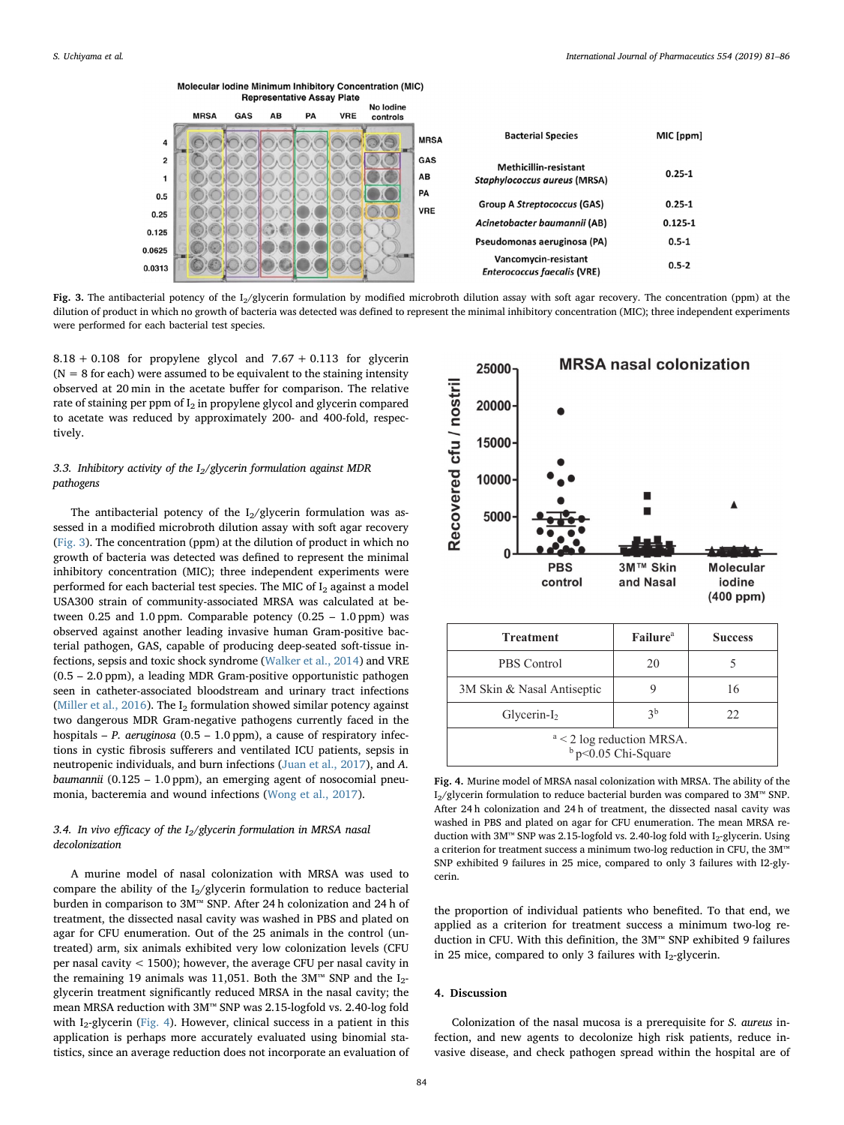<span id="page-3-0"></span>**Representative Assay Plate** No lodine **MRSA** GAS AB PA **VRE** controls MIC [ppm] **Bacterial Species MRSA**  $\overline{a}$  $\overline{2}$ GAS Methicillin-resistant  $0.25 - 1$ AB  $\mathbf{1}$ **Staphylococcus aureus (MRSA)** PA  $0.5$ **Group A Streptococcus (GAS)**  $0.25 - 1$ **VRE**  $0.25$ Acinetobacter baumannii (AB)  $0.125 - 1$  $0.125$ Pseudomonas aeruginosa (PA)  $0.5 - 1$ 0.0625 Vancomvcin-resistant  $0.5 - 2$ 0.0313 **Enterococcus faecalis (VRE)** 

Fig. 3. The antibacterial potency of the I<sub>2</sub>/glycerin formulation by modified microbroth dilution assay with soft agar recovery. The concentration (ppm) at the dilution of product in which no growth of bacteria was detected was defined to represent the minimal inhibitory concentration (MIC); three independent experiments were performed for each bacterial test species.

 $8.18 + 0.108$  for propylene glycol and  $7.67 + 0.113$  for glycerin  $(N = 8$  for each) were assumed to be equivalent to the staining intensity observed at 20 min in the acetate buffer for comparison. The relative rate of staining per ppm of  $I_2$  in propylene glycol and glycerin compared to acetate was reduced by approximately 200- and 400-fold, respectively.

Molecular Iodine Minimum Inhibitory Concentration (MIC)

# 3.3. Inhibitory activity of the  $I_2$ /glycerin formulation against MDR pathogens

The antibacterial potency of the  $I_2$ /glycerin formulation was assessed in a modified microbroth dilution assay with soft agar recovery ([Fig. 3](#page-3-0)). The concentration (ppm) at the dilution of product in which no growth of bacteria was detected was defined to represent the minimal inhibitory concentration (MIC); three independent experiments were performed for each bacterial test species. The MIC of  $I_2$  against a model USA300 strain of community-associated MRSA was calculated at between  $0.25$  and  $1.0$  ppm. Comparable potency  $(0.25 - 1.0$  ppm) was observed against another leading invasive human Gram-positive bacterial pathogen, GAS, capable of producing deep-seated soft-tissue infections, sepsis and toxic shock syndrome [\(Walker et al., 2014\)](#page-5-25) and VRE (0.5 – 2.0 ppm), a leading MDR Gram-positive opportunistic pathogen seen in catheter-associated bloodstream and urinary tract infections ([Miller et al., 2016\)](#page-5-26). The  $I_2$  formulation showed similar potency against two dangerous MDR Gram-negative pathogens currently faced in the hospitals – P. aeruginosa (0.5 – 1.0 ppm), a cause of respiratory infections in cystic fibrosis sufferers and ventilated ICU patients, sepsis in neutropenic individuals, and burn infections [\(Juan et al., 2017](#page-5-27)), and A. baumannii  $(0.125 - 1.0$  ppm), an emerging agent of nosocomial pneumonia, bacteremia and wound infections ([Wong et al., 2017\)](#page-5-28).

## 3.4. In vivo efficacy of the  $I_2$ /glycerin formulation in MRSA nasal decolonization

A murine model of nasal colonization with MRSA was used to compare the ability of the  $I_2/g$ lycerin formulation to reduce bacterial burden in comparison to 3M™ SNP. After 24 h colonization and 24 h of treatment, the dissected nasal cavity was washed in PBS and plated on agar for CFU enumeration. Out of the 25 animals in the control (untreated) arm, six animals exhibited very low colonization levels (CFU per nasal cavity < 1500); however, the average CFU per nasal cavity in the remaining 19 animals was 11,051. Both the 3M™ SNP and the  $I_2$ glycerin treatment significantly reduced MRSA in the nasal cavity; the mean MRSA reduction with 3M™ SNP was 2.15-logfold vs. 2.40-log fold with  $I_2$ -glycerin [\(Fig. 4\)](#page-3-1). However, clinical success in a patient in this application is perhaps more accurately evaluated using binomial statistics, since an average reduction does not incorporate an evaluation of

<span id="page-3-1"></span>

| <b>Treatment</b>                                     | <b>Failure</b> <sup>a</sup> | <b>Success</b> |
|------------------------------------------------------|-----------------------------|----------------|
| PBS Control                                          | 20                          |                |
| 3M Skin & Nasal Antiseptic                           |                             | 16             |
| $Glycerin-I2$                                        | 3 <sup>b</sup>              | 22             |
| $a < 2$ log reduction MRSA.<br>$b$ p<0.05 Chi-Square |                             |                |

Fig. 4. Murine model of MRSA nasal colonization with MRSA. The ability of the I<sub>2</sub>/glycerin formulation to reduce bacterial burden was compared to 3M™ SNP. After 24 h colonization and 24 h of treatment, the dissected nasal cavity was washed in PBS and plated on agar for CFU enumeration. The mean MRSA reduction with 3M™ SNP was 2.15-logfold vs. 2.40-log fold with I<sub>2</sub>-glycerin. Using a criterion for treatment success a minimum two-log reduction in CFU, the 3M™ SNP exhibited 9 failures in 25 mice, compared to only 3 failures with I2-glycerin.

the proportion of individual patients who benefited. To that end, we applied as a criterion for treatment success a minimum two-log reduction in CFU. With this definition, the 3M™ SNP exhibited 9 failures in 25 mice, compared to only 3 failures with  $I_2$ -glycerin.

#### 4. Discussion

Colonization of the nasal mucosa is a prerequisite for S. aureus infection, and new agents to decolonize high risk patients, reduce invasive disease, and check pathogen spread within the hospital are of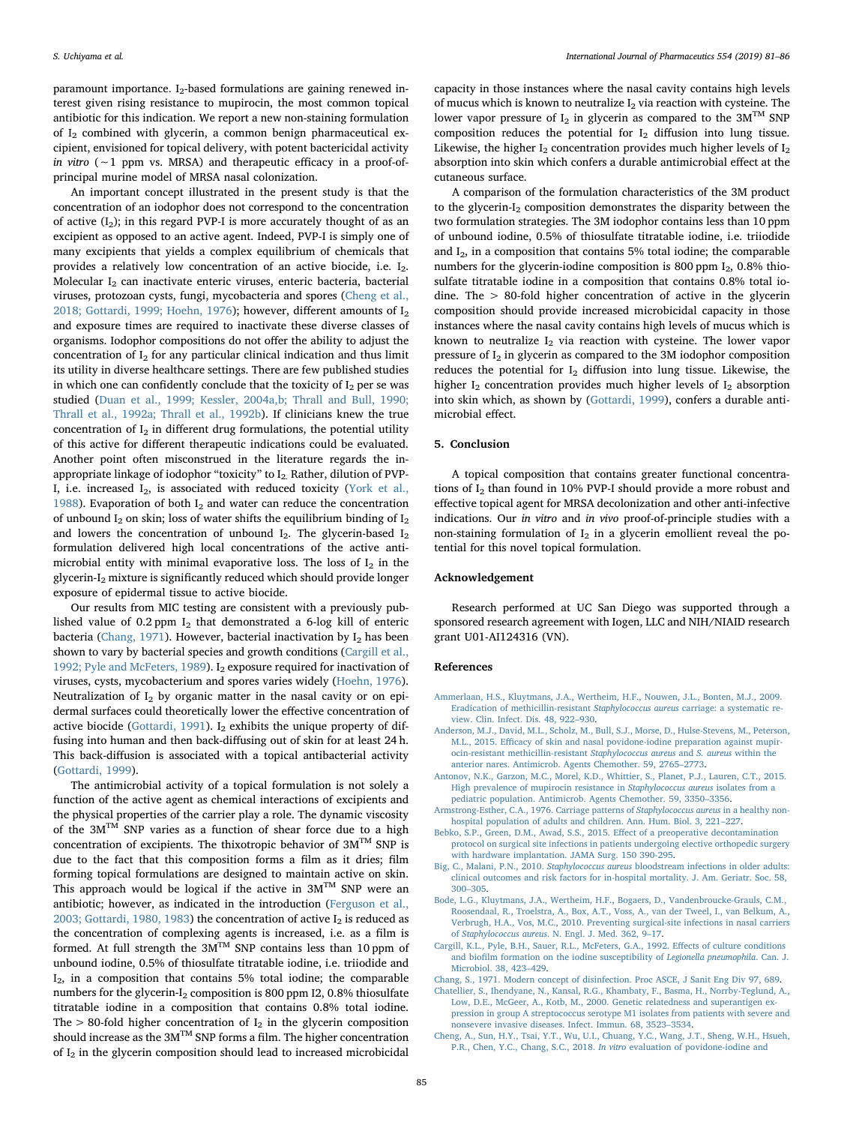paramount importance.  $I_2$ -based formulations are gaining renewed interest given rising resistance to mupirocin, the most common topical antibiotic for this indication. We report a new non-staining formulation of  $I_2$  combined with glycerin, a common benign pharmaceutical excipient, envisioned for topical delivery, with potent bactericidal activity in vitro (∼1 ppm vs. MRSA) and therapeutic efficacy in a proof-ofprincipal murine model of MRSA nasal colonization.

An important concept illustrated in the present study is that the concentration of an iodophor does not correspond to the concentration of active  $(I_2)$ ; in this regard PVP-I is more accurately thought of as an excipient as opposed to an active agent. Indeed, PVP-I is simply one of many excipients that yields a complex equilibrium of chemicals that provides a relatively low concentration of an active biocide, i.e.  $I_2$ . Molecular  $I_2$  can inactivate enteric viruses, enteric bacteria, bacterial viruses, protozoan cysts, fungi, mycobacteria and spores ([Cheng et al.,](#page-4-7) [2018; Gottardi, 1999; Hoehn, 1976\)](#page-4-7); however, different amounts of  $I_2$ and exposure times are required to inactivate these diverse classes of organisms. Iodophor compositions do not offer the ability to adjust the concentration of  $I_2$  for any particular clinical indication and thus limit its utility in diverse healthcare settings. There are few published studies in which one can confidently conclude that the toxicity of  $I_2$  per se was studied [\(Duan et al., 1999; Kessler, 2004a,b; Thrall and Bull, 1990;](#page-5-21) [Thrall et al., 1992a; Thrall et al., 1992b](#page-5-21)). If clinicians knew the true concentration of  $I_2$  in different drug formulations, the potential utility of this active for different therapeutic indications could be evaluated. Another point often misconstrued in the literature regards the inappropriate linkage of iodophor "toxicity" to  $I_2$ . Rather, dilution of PVP-I, i.e. increased  $I_2$ , is associated with reduced toxicity [\(York et al.,](#page-5-29) [1988\)](#page-5-29). Evaporation of both  $I_2$  and water can reduce the concentration of unbound  $I_2$  on skin; loss of water shifts the equilibrium binding of  $I_2$ and lowers the concentration of unbound  $I_2$ . The glycerin-based  $I_2$ formulation delivered high local concentrations of the active antimicrobial entity with minimal evaporative loss. The loss of  $I_2$  in the glycerin-I2 mixture is significantly reduced which should provide longer exposure of epidermal tissue to active biocide.

Our results from MIC testing are consistent with a previously published value of 0.2 ppm  $I_2$  that demonstrated a 6-log kill of enteric bacteria [\(Chang, 1971](#page-4-8)). However, bacterial inactivation by  $I_2$  has been shown to vary by bacterial species and growth conditions ([Cargill et al.,](#page-4-9) [1992; Pyle and McFeters, 1989\)](#page-4-9). I2 exposure required for inactivation of viruses, cysts, mycobacterium and spores varies widely ([Hoehn, 1976](#page-5-30)). Neutralization of  $I_2$  by organic matter in the nasal cavity or on epidermal surfaces could theoretically lower the effective concentration of active biocide ([Gottardi, 1991](#page-5-31)).  $I_2$  exhibits the unique property of diffusing into human and then back-diffusing out of skin for at least 24 h. This back-diffusion is associated with a topical antibacterial activity ([Gottardi, 1999\)](#page-5-32).

The antimicrobial activity of a topical formulation is not solely a function of the active agent as chemical interactions of excipients and the physical properties of the carrier play a role. The dynamic viscosity of the  $3M^{TM}$  SNP varies as a function of shear force due to a high concentration of excipients. The thixotropic behavior of  $3M^{TM}$  SNP is due to the fact that this composition forms a film as it dries; film forming topical formulations are designed to maintain active on skin. This approach would be logical if the active in  $3M^{TM}$  SNP were an antibiotic; however, as indicated in the introduction ([Ferguson et al.,](#page-5-15) [2003; Gottardi, 1980, 1983\)](#page-5-15) the concentration of active  $I_2$  is reduced as the concentration of complexing agents is increased, i.e. as a film is formed. At full strength the  $3M^{TM}$  SNP contains less than 10 ppm of unbound iodine, 0.5% of thiosulfate titratable iodine, i.e. triiodide and  $I_2$ , in a composition that contains 5% total iodine; the comparable numbers for the glycerin- $I_2$  composition is 800 ppm I2, 0.8% thiosulfate titratable iodine in a composition that contains 0.8% total iodine. The  $> 80$ -fold higher concentration of  $I_2$  in the glycerin composition should increase as the  $3M^{TM}$  SNP forms a film. The higher concentration of I<sub>2</sub> in the glycerin composition should lead to increased microbicidal

capacity in those instances where the nasal cavity contains high levels of mucus which is known to neutralize  $I_2$  via reaction with cysteine. The lower vapor pressure of  $I_2$  in glycerin as compared to the  $3M^{TM}$  SNP composition reduces the potential for  $I_2$  diffusion into lung tissue. Likewise, the higher  $I_2$  concentration provides much higher levels of  $I_2$ absorption into skin which confers a durable antimicrobial effect at the cutaneous surface.

A comparison of the formulation characteristics of the 3M product to the glycerin-I<sub>2</sub> composition demonstrates the disparity between the two formulation strategies. The 3M iodophor contains less than 10 ppm of unbound iodine, 0.5% of thiosulfate titratable iodine, i.e. triiodide and I2, in a composition that contains 5% total iodine; the comparable numbers for the glycerin-iodine composition is 800 ppm  $I_2$ , 0.8% thiosulfate titratable iodine in a composition that contains 0.8% total iodine. The > 80-fold higher concentration of active in the glycerin composition should provide increased microbicidal capacity in those instances where the nasal cavity contains high levels of mucus which is known to neutralize  $I_2$  via reaction with cysteine. The lower vapor pressure of  $I_2$  in glycerin as compared to the 3M iodophor composition reduces the potential for  $I_2$  diffusion into lung tissue. Likewise, the higher  $I_2$  concentration provides much higher levels of  $I_2$  absorption into skin which, as shown by ([Gottardi, 1999](#page-5-32)), confers a durable antimicrobial effect.

# 5. Conclusion

A topical composition that contains greater functional concentrations of  $I_2$  than found in 10% PVP-I should provide a more robust and effective topical agent for MRSA decolonization and other anti-infective indications. Our in vitro and in vivo proof-of-principle studies with a non-staining formulation of  $I_2$  in a glycerin emollient reveal the potential for this novel topical formulation.

#### Acknowledgement

Research performed at UC San Diego was supported through a sponsored research agreement with Iogen, LLC and NIH/NIAID research grant U01-AI124316 (VN).

#### References

- <span id="page-4-3"></span>[Ammerlaan, H.S., Kluytmans, J.A., Wertheim, H.F., Nouwen, J.L., Bonten, M.J., 2009.](http://refhub.elsevier.com/S0378-5173(18)30822-6/h0005) [Eradication of methicillin-resistant](http://refhub.elsevier.com/S0378-5173(18)30822-6/h0005) Staphylococcus aureus carriage: a systematic re[view. Clin. Infect. Dis. 48, 922](http://refhub.elsevier.com/S0378-5173(18)30822-6/h0005)–930.
- <span id="page-4-5"></span>[Anderson, M.J., David, M.L., Scholz, M., Bull, S.J., Morse, D., Hulse-Stevens, M., Peterson,](http://refhub.elsevier.com/S0378-5173(18)30822-6/h0010) M.L., 2015. Effi[cacy of skin and nasal povidone-iodine preparation against mupir](http://refhub.elsevier.com/S0378-5173(18)30822-6/h0010)[ocin-resistant methicillin-resistant](http://refhub.elsevier.com/S0378-5173(18)30822-6/h0010) Staphylococcus aureus and S. aureus within the [anterior nares. Antimicrob. Agents Chemother. 59, 2765](http://refhub.elsevier.com/S0378-5173(18)30822-6/h0010)–2773.
- <span id="page-4-4"></span>[Antonov, N.K., Garzon, M.C., Morel, K.D., Whittier, S., Planet, P.J., Lauren, C.T., 2015.](http://refhub.elsevier.com/S0378-5173(18)30822-6/h0015) [High prevalence of mupirocin resistance in](http://refhub.elsevier.com/S0378-5173(18)30822-6/h0015) Staphylococcus aureus isolates from a [pediatric population. Antimicrob. Agents Chemother. 59, 3350](http://refhub.elsevier.com/S0378-5173(18)30822-6/h0015)–3356.
- <span id="page-4-1"></span>[Armstrong-Esther, C.A., 1976. Carriage patterns of](http://refhub.elsevier.com/S0378-5173(18)30822-6/h0020) Staphylococcus aureus in a healthy non[hospital population of adults and children. Ann. Hum. Biol. 3, 221](http://refhub.elsevier.com/S0378-5173(18)30822-6/h0020)–227.
- [Bebko, S.P., Green, D.M., Awad, S.S., 2015. E](http://refhub.elsevier.com/S0378-5173(18)30822-6/h0025)ffect of a preoperative decontamination [protocol on surgical site infections in patients undergoing elective orthopedic surgery](http://refhub.elsevier.com/S0378-5173(18)30822-6/h0025) [with hardware implantation. JAMA Surg. 150 390-295](http://refhub.elsevier.com/S0378-5173(18)30822-6/h0025).
- <span id="page-4-0"></span>Big, C., Malani, P.N., 2010. Staphylococcus aureus [bloodstream infections in older adults:](http://refhub.elsevier.com/S0378-5173(18)30822-6/h0030) [clinical outcomes and risk factors for in-hospital mortality. J. Am. Geriatr. Soc. 58,](http://refhub.elsevier.com/S0378-5173(18)30822-6/h0030) 300–[305](http://refhub.elsevier.com/S0378-5173(18)30822-6/h0030).
- <span id="page-4-2"></span>[Bode, L.G., Kluytmans, J.A., Wertheim, H.F., Bogaers, D., Vandenbroucke-Grauls, C.M.,](http://refhub.elsevier.com/S0378-5173(18)30822-6/h0035) [Roosendaal, R., Troelstra, A., Box, A.T., Voss, A., van der Tweel, I., van Belkum, A.,](http://refhub.elsevier.com/S0378-5173(18)30822-6/h0035) [Verbrugh, H.A., Vos, M.C., 2010. Preventing surgical-site infections in nasal carriers](http://refhub.elsevier.com/S0378-5173(18)30822-6/h0035) of Staphylococcus aureus[. N. Engl. J. Med. 362, 9](http://refhub.elsevier.com/S0378-5173(18)30822-6/h0035)–17.
- <span id="page-4-9"></span>[Cargill, K.L., Pyle, B.H., Sauer, R.L., McFeters, G.A., 1992. E](http://refhub.elsevier.com/S0378-5173(18)30822-6/h0040)ffects of culture conditions and biofi[lm formation on the iodine susceptibility of](http://refhub.elsevier.com/S0378-5173(18)30822-6/h0040) Legionella pneumophila. Can. J. [Microbiol. 38, 423](http://refhub.elsevier.com/S0378-5173(18)30822-6/h0040)–429.

<span id="page-4-8"></span>[Chang, S., 1971. Modern concept of disinfection. Proc ASCE, J Sanit Eng Div 97, 689](http://refhub.elsevier.com/S0378-5173(18)30822-6/h0045).

- <span id="page-4-6"></span>[Chatellier, S., Ihendyane, N., Kansal, R.G., Khambaty, F., Basma, H., Norrby-Teglund, A.,](http://refhub.elsevier.com/S0378-5173(18)30822-6/h0050) [Low, D.E., McGeer, A., Kotb, M., 2000. Genetic relatedness and superantigen ex](http://refhub.elsevier.com/S0378-5173(18)30822-6/h0050)[pression in group A streptococcus serotype M1 isolates from patients with severe and](http://refhub.elsevier.com/S0378-5173(18)30822-6/h0050) [nonsevere invasive diseases. Infect. Immun. 68, 3523](http://refhub.elsevier.com/S0378-5173(18)30822-6/h0050)–3534.
- <span id="page-4-7"></span>[Cheng, A., Sun, H.Y., Tsai, Y.T., Wu, U.I., Chuang, Y.C., Wang, J.T., Sheng, W.H., Hsueh,](http://refhub.elsevier.com/S0378-5173(18)30822-6/h0055) [P.R., Chen, Y.C., Chang, S.C., 2018.](http://refhub.elsevier.com/S0378-5173(18)30822-6/h0055) In vitro evaluation of povidone-iodine and